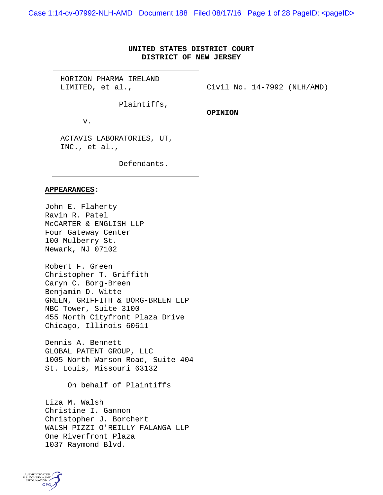Case 1:14-cv-07992-NLH-AMD Document 188 Filed 08/17/16 Page 1 of 28 PageID: <pageID>

## **UNITED STATES DISTRICT COURT DISTRICT OF NEW JERSEY**

HORIZON PHARMA IRELAND LIMITED, et al.,

Civil No. 14-7992 (NLH/AMD)

Plaintiffs,

**OPINION**

v.

ACTAVIS LABORATORIES, UT, INC., et al.,

Defendants.

#### **APPEARANCES**:

John E. Flaherty Ravin R. Patel McCARTER & ENGLISH LLP Four Gateway Center 100 Mulberry St. Newark, NJ 07102

Robert F. Green Christopher T. Griffith Caryn C. Borg-Breen Benjamin D. Witte GREEN, GRIFFITH & BORG-BREEN LLP NBC Tower, Suite 3100 455 North Cityfront Plaza Drive Chicago, Illinois 60611

Dennis A. Bennett GLOBAL PATENT GROUP, LLC 1005 North Warson Road, Suite 404 St. Louis, Missouri 63132

On behalf of Plaintiffs

Liza M. Walsh Christine I. Gannon Christopher J. Borchert WALSH PIZZI O'REILLY FALANGA LLP One Riverfront Plaza 1037 Raymond Blvd.

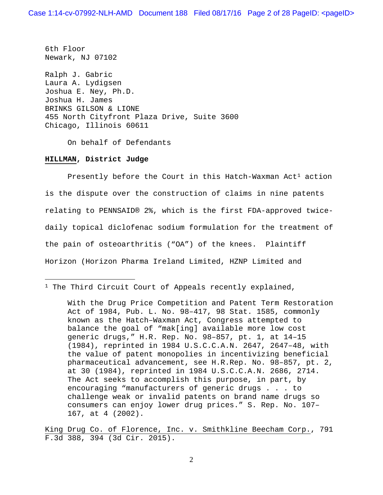6th Floor Newark, NJ 07102 Ralph J. Gabric Laura A. Lydigsen Joshua E. Ney, Ph.D. Joshua H. James BRINKS GILSON & LIONE 455 North Cityfront Plaza Drive, Suite 3600 Chicago, Illinois 60611

On behalf of Defendants

#### **HILLMAN, District Judge**

 $\overline{a}$ 

Presently before the Court in this Hatch-Waxman  $Act<sup>1</sup>$  $Act<sup>1</sup>$  $Act<sup>1</sup>$  action is the dispute over the construction of claims in nine patents relating to PENNSAID® 2%, which is the first FDA-approved twicedaily topical diclofenac sodium formulation for the treatment of the pain of osteoarthritis ("OA") of the knees. Plaintiff Horizon (Horizon Pharma Ireland Limited, HZNP Limited and

With the Drug Price Competition and Patent Term Restoration Act of 1984, Pub. L. No. 98–417, 98 Stat. 1585, commonly known as the Hatch–Waxman Act, Congress attempted to balance the goal of "mak[ing] available more low cost generic drugs," H.R. Rep. No. 98–857, pt. 1, at 14–15 (1984), reprinted in 1984 U.S.C.C.A.N. 2647, 2647–48, with the value of patent monopolies in incentivizing beneficial pharmaceutical advancement, see H.R.Rep. No. 98–857, pt. 2, at 30 (1984), reprinted in 1984 U.S.C.C.A.N. 2686, 2714. The Act seeks to accomplish this purpose, in part, by encouraging "manufacturers of generic drugs . . . to challenge weak or invalid patents on brand name drugs so consumers can enjoy lower drug prices." S. Rep. No. 107– 167, at 4 (2002).

King Drug Co. of Florence, Inc. v. Smithkline Beecham Corp., 791 F.3d 388, 394 (3d Cir. 2015).

<span id="page-1-0"></span><sup>&</sup>lt;sup>1</sup> The Third Circuit Court of Appeals recently explained,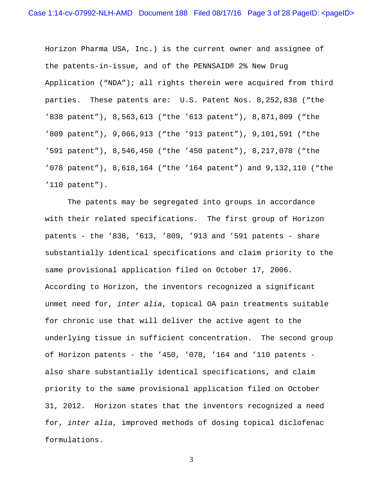Horizon Pharma USA, Inc.) is the current owner and assignee of the patents-in-issue, and of the PENNSAID® 2% New Drug Application ("NDA"); all rights therein were acquired from third parties. These patents are: U.S. Patent Nos. 8,252,838 ("the '838 patent"), 8,563,613 ("the '613 patent"), 8,871,809 ("the '809 patent"), 9,066,913 ("the '913 patent"), 9,101,591 ("the '591 patent"), 8,546,450 ("the '450 patent"), 8,217,078 ("the '078 patent"), 8,618,164 ("the '164 patent") and 9,132,110 ("the '110 patent").

The patents may be segregated into groups in accordance with their related specifications. The first group of Horizon patents - the '838, '613, '809, '913 and '591 patents - share substantially identical specifications and claim priority to the same provisional application filed on October 17, 2006. According to Horizon, the inventors recognized a significant unmet need for, *inter alia*, topical OA pain treatments suitable for chronic use that will deliver the active agent to the underlying tissue in sufficient concentration. The second group of Horizon patents - the '450, '078, '164 and '110 patents also share substantially identical specifications, and claim priority to the same provisional application filed on October 31, 2012. Horizon states that the inventors recognized a need for, *inter alia*, improved methods of dosing topical diclofenac formulations.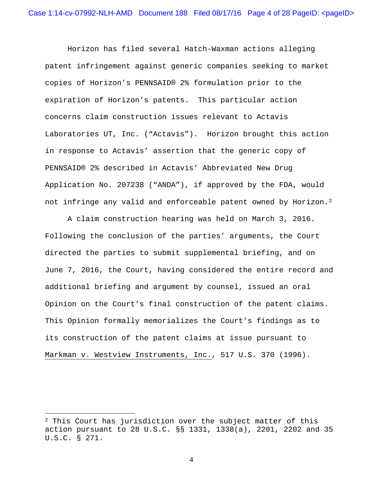Horizon has filed several Hatch-Waxman actions alleging patent infringement against generic companies seeking to market copies of Horizon's PENNSAID® 2% formulation prior to the expiration of Horizon's patents. This particular action concerns claim construction issues relevant to Actavis Laboratories UT, Inc. ("Actavis"). Horizon brought this action in response to Actavis' assertion that the generic copy of PENNSAID® 2% described in Actavis' Abbreviated New Drug Application No. 207238 ("ANDA"), if approved by the FDA, would not infringe any valid and enforceable patent owned by Horizon.<sup>2</sup>

A claim construction hearing was held on March 3, 2016. Following the conclusion of the parties' arguments, the Court directed the parties to submit supplemental briefing, and on June 7, 2016, the Court, having considered the entire record and additional briefing and argument by counsel, issued an oral Opinion on the Court's final construction of the patent claims. This Opinion formally memorializes the Court's findings as to its construction of the patent claims at issue pursuant to Markman v. Westview Instruments, Inc., 517 U.S. 370 (1996).

<span id="page-3-0"></span> $2$  This Court has jurisdiction over the subject matter of this action pursuant to 28 U.S.C. §§ 1331, 1338(a), 2201, 2202 and 35 U.S.C. § 271.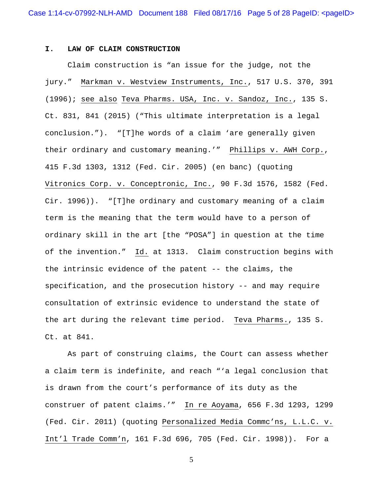#### **I. LAW OF CLAIM CONSTRUCTION**

Claim construction is "an issue for the judge, not the jury." Markman v. Westview Instruments, Inc., 517 U.S. 370, 391 (1996); see also Teva Pharms. USA, Inc. v. Sandoz, Inc., 135 S. Ct. 831, 841 (2015) ("This ultimate interpretation is a legal conclusion."). "[T]he words of a claim 'are generally given their ordinary and customary meaning.'" Phillips v. AWH Corp., 415 F.3d 1303, 1312 (Fed. Cir. 2005) (en banc) (quoting Vitronics Corp. v. Conceptronic, Inc., 90 F.3d 1576, 1582 (Fed. Cir. 1996)). "[T]he ordinary and customary meaning of a claim term is the meaning that the term would have to a person of ordinary skill in the art [the "POSA"] in question at the time of the invention." Id. at 1313. Claim construction begins with the intrinsic evidence of the patent -- the claims, the specification, and the prosecution history -- and may require consultation of extrinsic evidence to understand the state of the art during the relevant time period. Teva Pharms., 135 S. Ct. at 841.

As part of construing claims, the Court can assess whether a claim term is indefinite, and reach "'a legal conclusion that is drawn from the court's performance of its duty as the construer of patent claims.'" In re Aoyama, 656 F.3d 1293, 1299 (Fed. Cir. 2011) (quoting Personalized Media Commc'ns, L.L.C. v. Int'l Trade Comm'n, 161 F.3d 696, 705 (Fed. Cir. 1998)). For a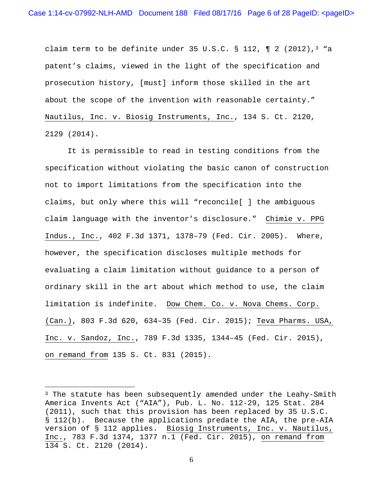claim term to be definite under 35 U.S.C. § 112,  $\P$  2 (2012),<sup>3</sup> "a patent's claims, viewed in the light of the specification and prosecution history, [must] inform those skilled in the art about the scope of the invention with reasonable certainty." Nautilus, Inc. v. Biosig Instruments, Inc., 134 S. Ct. 2120, 2129 (2014).

It is permissible to read in testing conditions from the specification without violating the basic canon of construction not to import limitations from the specification into the claims, but only where this will "reconcile[ ] the ambiguous claim language with the inventor's disclosure." Chimie v. PPG Indus., Inc., 402 F.3d 1371, 1378–79 (Fed. Cir. 2005). Where, however, the specification discloses multiple methods for evaluating a claim limitation without guidance to a person of ordinary skill in the art about which method to use, the claim limitation is indefinite. Dow Chem. Co. v. Nova Chems. Corp. (Can.), 803 F.3d 620, 634–35 (Fed. Cir. 2015); Teva Pharms. USA, Inc. v. Sandoz, Inc., 789 F.3d 1335, 1344–45 (Fed. Cir. 2015), on remand from 135 S. Ct. 831 (2015).

 $\overline{a}$ 

<span id="page-5-0"></span><sup>&</sup>lt;sup>3</sup> The statute has been subsequently amended under the Leahy-Smith America Invents Act ("AIA"), Pub. L. No. 112-29, 125 Stat. 284 (2011), such that this provision has been replaced by 35 U.S.C. § 112(b). Because the applications predate the AIA, the pre-AIA version of § 112 applies. Biosig Instruments, Inc. v. Nautilus, Inc., 783 F.3d 1374, 1377 n.1 (Fed. Cir. 2015), on remand from 134 S. Ct. 2120 (2014).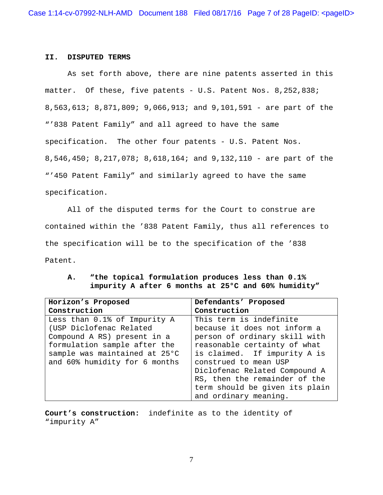#### **II. DISPUTED TERMS**

As set forth above, there are nine patents asserted in this matter. Of these, five patents - U.S. Patent Nos. 8,252,838; 8,563,613; 8,871,809; 9,066,913; and 9,101,591 - are part of the "'838 Patent Family" and all agreed to have the same specification. The other four patents - U.S. Patent Nos. 8,546,450; 8,217,078; 8,618,164; and 9,132,110 - are part of the "'450 Patent Family" and similarly agreed to have the same specification.

All of the disputed terms for the Court to construe are contained within the '838 Patent Family, thus all references to the specification will be to the specification of the '838 Patent.

# **A. "the topical formulation produces less than 0.1% impurity A after 6 months at 25°C and 60% humidity"**

| Horizon's Proposed            | Defendants' Proposed           |
|-------------------------------|--------------------------------|
| Construction                  | Construction                   |
| Less than 0.1% of Impurity A  | This term is indefinite        |
| (USP Diclofenac Related       | because it does not inform a   |
| Compound A RS) present in a   | person of ordinary skill with  |
| formulation sample after the  | reasonable certainty of what   |
| sample was maintained at 25°C | is claimed. If impurity A is   |
| and 60% humidity for 6 months | construed to mean USP          |
|                               | Diclofenac Related Compound A  |
|                               | RS, then the remainder of the  |
|                               | term should be given its plain |
|                               | and ordinary meaning.          |

**Court's construction:** indefinite as to the identity of "impurity A"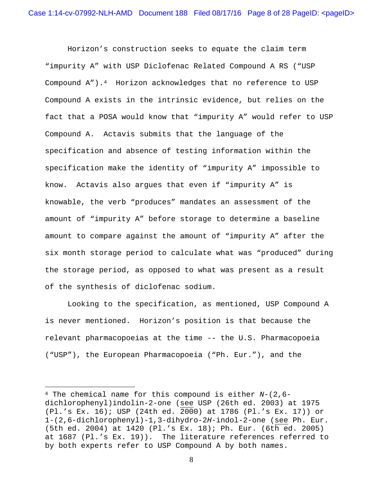Horizon's construction seeks to equate the claim term "impurity A" with USP Diclofenac Related Compound A RS ("USP Compound A").[4](#page-7-0) Horizon acknowledges that no reference to USP Compound A exists in the intrinsic evidence, but relies on the fact that a POSA would know that "impurity A" would refer to USP Compound A. Actavis submits that the language of the specification and absence of testing information within the specification make the identity of "impurity A" impossible to know. Actavis also argues that even if "impurity A" is knowable, the verb "produces" mandates an assessment of the amount of "impurity A" before storage to determine a baseline amount to compare against the amount of "impurity A" after the six month storage period to calculate what was "produced" during the storage period, as opposed to what was present as a result of the synthesis of diclofenac sodium.

Looking to the specification, as mentioned, USP Compound A is never mentioned. Horizon's position is that because the relevant pharmacopoeias at the time -- the U.S. Pharmacopoeia ("USP"), the European Pharmacopoeia ("Ph. Eur."), and the

<span id="page-7-0"></span><sup>4</sup> The chemical name for this compound is either *N*-(2,6 dichlorophenyl)indolin-2-one (see USP (26th ed. 2003) at 1975 (Pl.'s Ex. 16); USP (24th ed. 2000) at 1786 (Pl.'s Ex. 17)) or 1-(2,6-dichlorophenyl)-1,3-dihydro-2*H*-indol-2-one (see Ph. Eur. (5th ed. 2004) at 1420 (Pl.'s Ex. 18); Ph. Eur. (6th ed. 2005) at 1687 (Pl.'s Ex. 19)). The literature references referred to by both experts refer to USP Compound A by both names.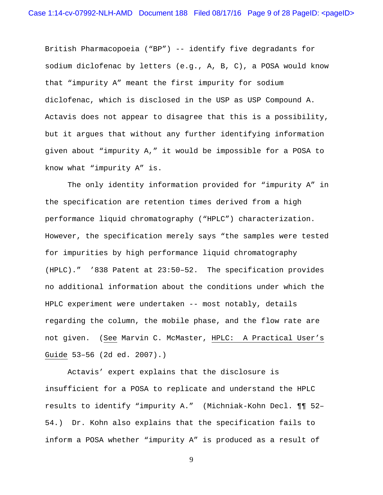British Pharmacopoeia ("BP") -- identify five degradants for sodium diclofenac by letters (e.g., A, B, C), a POSA would know that "impurity A" meant the first impurity for sodium diclofenac, which is disclosed in the USP as USP Compound A. Actavis does not appear to disagree that this is a possibility, but it argues that without any further identifying information given about "impurity A," it would be impossible for a POSA to know what "impurity A" is.

The only identity information provided for "impurity A" in the specification are retention times derived from a high performance liquid chromatography ("HPLC") characterization. However, the specification merely says "the samples were tested for impurities by high performance liquid chromatography (HPLC)." '838 Patent at 23:50–52. The specification provides no additional information about the conditions under which the HPLC experiment were undertaken -- most notably, details regarding the column, the mobile phase, and the flow rate are not given. (See Marvin C. McMaster, HPLC: A Practical User's Guide 53–56 (2d ed. 2007).)

Actavis' expert explains that the disclosure is insufficient for a POSA to replicate and understand the HPLC results to identify "impurity A." (Michniak-Kohn Decl. ¶¶ 52– 54.) Dr. Kohn also explains that the specification fails to inform a POSA whether "impurity A" is produced as a result of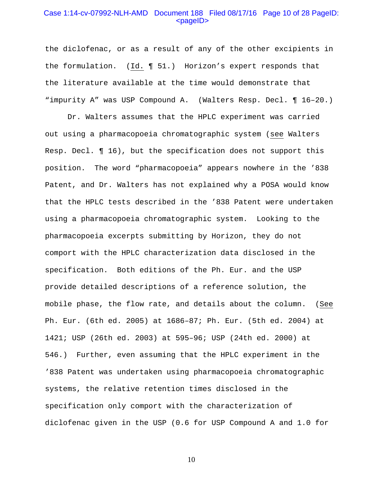#### Case 1:14-cv-07992-NLH-AMD Document 188 Filed 08/17/16 Page 10 of 28 PageID: <pageID>

the diclofenac, or as a result of any of the other excipients in the formulation. (Id. ¶ 51.) Horizon's expert responds that the literature available at the time would demonstrate that "impurity A" was USP Compound A. (Walters Resp. Decl. ¶ 16–20.)

Dr. Walters assumes that the HPLC experiment was carried out using a pharmacopoeia chromatographic system (see Walters Resp. Decl. ¶ 16), but the specification does not support this position. The word "pharmacopoeia" appears nowhere in the '838 Patent, and Dr. Walters has not explained why a POSA would know that the HPLC tests described in the '838 Patent were undertaken using a pharmacopoeia chromatographic system. Looking to the pharmacopoeia excerpts submitting by Horizon, they do not comport with the HPLC characterization data disclosed in the specification. Both editions of the Ph. Eur. and the USP provide detailed descriptions of a reference solution, the mobile phase, the flow rate, and details about the column. (See Ph. Eur. (6th ed. 2005) at 1686–87; Ph. Eur. (5th ed. 2004) at 1421; USP (26th ed. 2003) at 595–96; USP (24th ed. 2000) at 546.) Further, even assuming that the HPLC experiment in the '838 Patent was undertaken using pharmacopoeia chromatographic systems, the relative retention times disclosed in the specification only comport with the characterization of diclofenac given in the USP (0.6 for USP Compound A and 1.0 for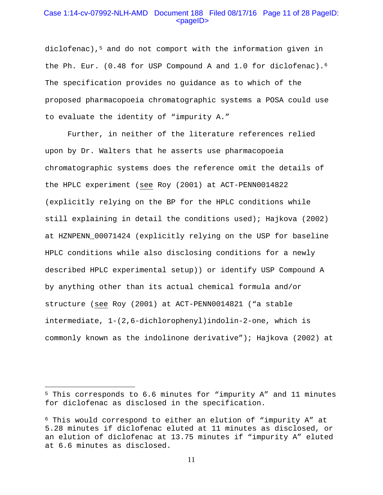### Case 1:14-cv-07992-NLH-AMD Document 188 Filed 08/17/16 Page 11 of 28 PageID: <pageID>

diclofenac),[5](#page-10-0) and do not comport with the information given in the Ph. Eur. (0.48 for USP Compound A and 1.0 for diclofenac).<sup>6</sup> The specification provides no guidance as to which of the proposed pharmacopoeia chromatographic systems a POSA could use to evaluate the identity of "impurity A."

Further, in neither of the literature references relied upon by Dr. Walters that he asserts use pharmacopoeia chromatographic systems does the reference omit the details of the HPLC experiment (see Roy (2001) at ACT-PENN0014822 (explicitly relying on the BP for the HPLC conditions while still explaining in detail the conditions used); Hajkova (2002) at HZNPENN\_00071424 (explicitly relying on the USP for baseline HPLC conditions while also disclosing conditions for a newly described HPLC experimental setup)) or identify USP Compound A by anything other than its actual chemical formula and/or structure (see Roy (2001) at ACT-PENN0014821 ("a stable intermediate, 1-(2,6-dichlorophenyl)indolin-2-one, which is commonly known as the indolinone derivative"); Hajkova (2002) at

<span id="page-10-0"></span><sup>5</sup> This corresponds to 6.6 minutes for "impurity A" and 11 minutes for diclofenac as disclosed in the specification.

<span id="page-10-1"></span><sup>6</sup> This would correspond to either an elution of "impurity A" at 5.28 minutes if diclofenac eluted at 11 minutes as disclosed, or an elution of diclofenac at 13.75 minutes if "impurity A" eluted at 6.6 minutes as disclosed.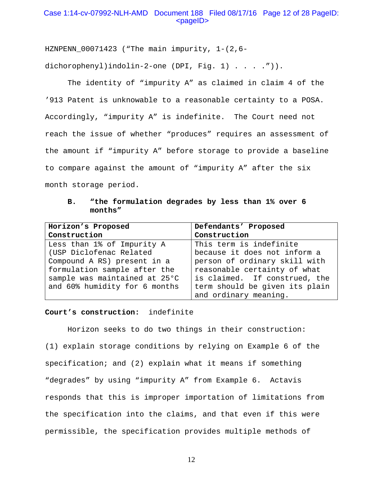## Case 1:14-cv-07992-NLH-AMD Document 188 Filed 08/17/16 Page 12 of 28 PageID: <pageID>

HZNPENN  $00071423$  ("The main impurity,  $1-(2,6-$ 

dichorophenyl)indolin-2-one (DPI, Fig. 1) . . . . ")).

The identity of "impurity A" as claimed in claim 4 of the '913 Patent is unknowable to a reasonable certainty to a POSA. Accordingly, "impurity A" is indefinite. The Court need not reach the issue of whether "produces" requires an assessment of the amount if "impurity A" before storage to provide a baseline to compare against the amount of "impurity A" after the six month storage period.

## **B. "the formulation degrades by less than 1% over 6 months"**

| Horizon's Proposed            | Defendants' Proposed           |
|-------------------------------|--------------------------------|
| Construction                  | Construction                   |
| Less than 1% of Impurity A    | This term is indefinite        |
| (USP Diclofenac Related       | because it does not inform a   |
| Compound A RS) present in a   | person of ordinary skill with  |
| formulation sample after the  | reasonable certainty of what   |
| sample was maintained at 25°C | is claimed. If construed, the  |
| and 60% humidity for 6 months | term should be given its plain |
|                               | and ordinary meaning.          |

#### **Court's construction:** indefinite

Horizon seeks to do two things in their construction: (1) explain storage conditions by relying on Example 6 of the specification; and (2) explain what it means if something "degrades" by using "impurity A" from Example 6. Actavis responds that this is improper importation of limitations from the specification into the claims, and that even if this were permissible, the specification provides multiple methods of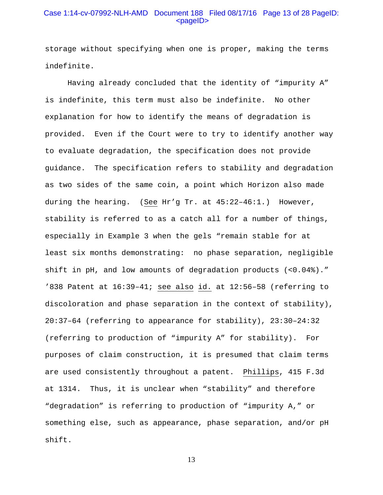## Case 1:14-cv-07992-NLH-AMD Document 188 Filed 08/17/16 Page 13 of 28 PageID: <pageID>

storage without specifying when one is proper, making the terms indefinite.

Having already concluded that the identity of "impurity A" is indefinite, this term must also be indefinite. No other explanation for how to identify the means of degradation is provided. Even if the Court were to try to identify another way to evaluate degradation, the specification does not provide guidance. The specification refers to stability and degradation as two sides of the same coin, a point which Horizon also made during the hearing. (See Hr'g Tr. at 45:22–46:1.) However, stability is referred to as a catch all for a number of things, especially in Example 3 when the gels "remain stable for at least six months demonstrating: no phase separation, negligible shift in pH, and low amounts of degradation products (<0.04%)." '838 Patent at 16:39–41; see also id. at 12:56–58 (referring to discoloration and phase separation in the context of stability), 20:37–64 (referring to appearance for stability), 23:30–24:32 (referring to production of "impurity A" for stability). For purposes of claim construction, it is presumed that claim terms are used consistently throughout a patent. Phillips, 415 F.3d at 1314. Thus, it is unclear when "stability" and therefore "degradation" is referring to production of "impurity A," or something else, such as appearance, phase separation, and/or pH shift.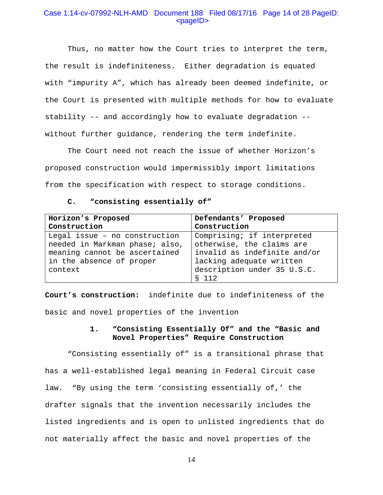## Case 1:14-cv-07992-NLH-AMD Document 188 Filed 08/17/16 Page 14 of 28 PageID: <pageID>

Thus, no matter how the Court tries to interpret the term, the result is indefiniteness. Either degradation is equated with "impurity A", which has already been deemed indefinite, or the Court is presented with multiple methods for how to evaluate stability -- and accordingly how to evaluate degradation - without further guidance, rendering the term indefinite.

The Court need not reach the issue of whether Horizon's proposed construction would impermissibly import limitations from the specification with respect to storage conditions.

#### **C. "consisting essentially of"**

| Horizon's Proposed             | Defendants' Proposed         |
|--------------------------------|------------------------------|
| Construction                   | Construction                 |
| Legal issue - no construction  | Comprising; if interpreted   |
| needed in Markman phase; also, | otherwise, the claims are    |
| meaning cannot be ascertained  | invalid as indefinite and/or |
| in the absence of proper       | lacking adequate written     |
| context                        | description under 35 U.S.C.  |
|                                | S 112                        |

**Court's construction:** indefinite due to indefiniteness of the basic and novel properties of the invention

## **1. "Consisting Essentially Of" and the "Basic and Novel Properties" Require Construction**

"Consisting essentially of" is a transitional phrase that has a well-established legal meaning in Federal Circuit case law. "By using the term 'consisting essentially of,' the drafter signals that the invention necessarily includes the listed ingredients and is open to unlisted ingredients that do not materially affect the basic and novel properties of the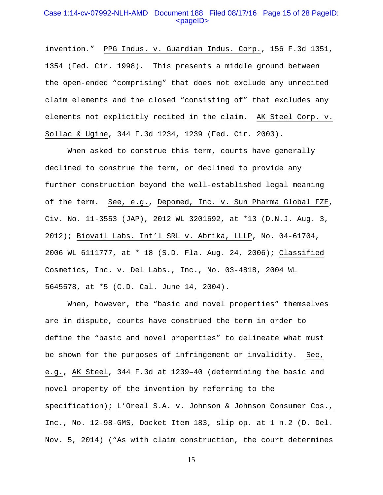### Case 1:14-cv-07992-NLH-AMD Document 188 Filed 08/17/16 Page 15 of 28 PageID: <pageID>

invention." PPG Indus. v. Guardian Indus. Corp., 156 F.3d 1351, 1354 (Fed. Cir. 1998). This presents a middle ground between the open-ended "comprising" that does not exclude any unrecited claim elements and the closed "consisting of" that excludes any elements not explicitly recited in the claim. AK Steel Corp. v. Sollac & Ugine, 344 F.3d 1234, 1239 (Fed. Cir. 2003).

When asked to construe this term, courts have generally declined to construe the term, or declined to provide any further construction beyond the well-established legal meaning of the term. See, e.g., Depomed, Inc. v. Sun Pharma Global FZE, Civ. No. 11-3553 (JAP), 2012 WL 3201692, at \*13 (D.N.J. Aug. 3, 2012); Biovail Labs. Int'l SRL v. Abrika, LLLP, No. 04-61704, 2006 WL 6111777, at \* 18 (S.D. Fla. Aug. 24, 2006); Classified Cosmetics, Inc. v. Del Labs., Inc., No. 03-4818, 2004 WL 5645578, at \*5 (C.D. Cal. June 14, 2004).

When, however, the "basic and novel properties" themselves are in dispute, courts have construed the term in order to define the "basic and novel properties" to delineate what must be shown for the purposes of infringement or invalidity. See, e.g., AK Steel, 344 F.3d at 1239–40 (determining the basic and novel property of the invention by referring to the specification); L'Oreal S.A. v. Johnson & Johnson Consumer Cos., Inc., No. 12-98-GMS, Docket Item 183, slip op. at 1 n.2 (D. Del. Nov. 5, 2014) ("As with claim construction, the court determines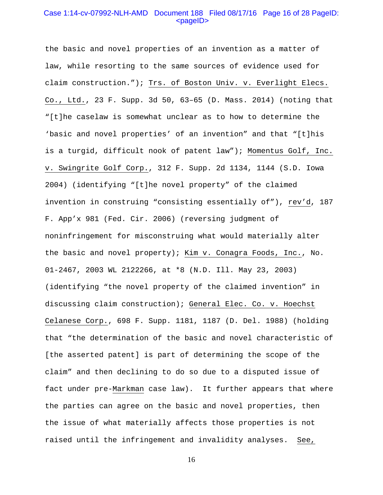### Case 1:14-cv-07992-NLH-AMD Document 188 Filed 08/17/16 Page 16 of 28 PageID: <pageID>

the basic and novel properties of an invention as a matter of law, while resorting to the same sources of evidence used for claim construction."); Trs. of Boston Univ. v. Everlight Elecs. Co., Ltd., 23 F. Supp. 3d 50, 63–65 (D. Mass. 2014) (noting that "[t]he caselaw is somewhat unclear as to how to determine the 'basic and novel properties' of an invention" and that "[t]his is a turgid, difficult nook of patent law"); Momentus Golf, Inc. v. Swingrite Golf Corp., 312 F. Supp. 2d 1134, 1144 (S.D. Iowa 2004) (identifying "[t]he novel property" of the claimed invention in construing "consisting essentially of"), rev'd, 187 F. App'x 981 (Fed. Cir. 2006) (reversing judgment of noninfringement for misconstruing what would materially alter the basic and novel property); Kim v. Conagra Foods, Inc., No. 01-2467, 2003 WL 2122266, at \*8 (N.D. Ill. May 23, 2003) (identifying "the novel property of the claimed invention" in discussing claim construction); General Elec. Co. v. Hoechst Celanese Corp., 698 F. Supp. 1181, 1187 (D. Del. 1988) (holding that "the determination of the basic and novel characteristic of [the asserted patent] is part of determining the scope of the claim" and then declining to do so due to a disputed issue of fact under pre-Markman case law). It further appears that where the parties can agree on the basic and novel properties, then the issue of what materially affects those properties is not raised until the infringement and invalidity analyses. See,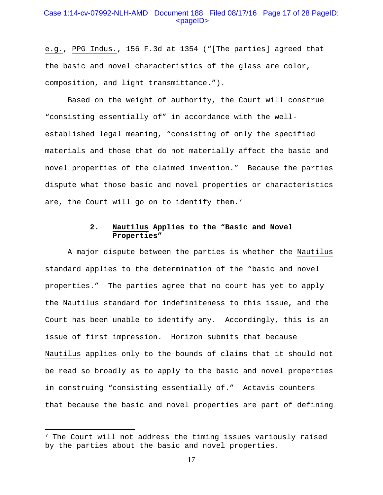### Case 1:14-cv-07992-NLH-AMD Document 188 Filed 08/17/16 Page 17 of 28 PageID: <pageID>

e.g., PPG Indus., 156 F.3d at 1354 ("[The parties] agreed that the basic and novel characteristics of the glass are color, composition, and light transmittance.").

Based on the weight of authority, the Court will construe "consisting essentially of" in accordance with the wellestablished legal meaning, "consisting of only the specified materials and those that do not materially affect the basic and novel properties of the claimed invention." Because the parties dispute what those basic and novel properties or characteristics are, the Court will go on to identify them.<sup>[7](#page-16-0)</sup>

## **2. Nautilus Applies to the "Basic and Novel Properties"**

A major dispute between the parties is whether the Nautilus standard applies to the determination of the "basic and novel properties." The parties agree that no court has yet to apply the Nautilus standard for indefiniteness to this issue, and the Court has been unable to identify any. Accordingly, this is an issue of first impression. Horizon submits that because Nautilus applies only to the bounds of claims that it should not be read so broadly as to apply to the basic and novel properties in construing "consisting essentially of." Actavis counters that because the basic and novel properties are part of defining

<span id="page-16-0"></span> $7$  The Court will not address the timing issues variously raised by the parties about the basic and novel properties.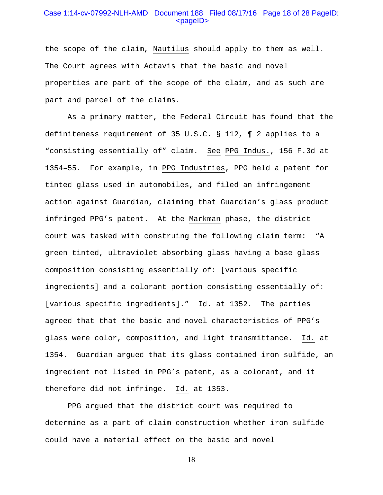### Case 1:14-cv-07992-NLH-AMD Document 188 Filed 08/17/16 Page 18 of 28 PageID: <pageID>

the scope of the claim, Nautilus should apply to them as well. The Court agrees with Actavis that the basic and novel properties are part of the scope of the claim, and as such are part and parcel of the claims.

As a primary matter, the Federal Circuit has found that the definiteness requirement of 35 U.S.C. § 112, ¶ 2 applies to a "consisting essentially of" claim. See PPG Indus., 156 F.3d at 1354–55. For example, in PPG Industries, PPG held a patent for tinted glass used in automobiles, and filed an infringement action against Guardian, claiming that Guardian's glass product infringed PPG's patent. At the Markman phase, the district court was tasked with construing the following claim term: "A green tinted, ultraviolet absorbing glass having a base glass composition consisting essentially of: [various specific ingredients] and a colorant portion consisting essentially of: [various specific ingredients]." Id. at 1352. The parties agreed that that the basic and novel characteristics of PPG's glass were color, composition, and light transmittance. Id. at 1354. Guardian argued that its glass contained iron sulfide, an ingredient not listed in PPG's patent, as a colorant, and it therefore did not infringe. Id. at 1353.

PPG argued that the district court was required to determine as a part of claim construction whether iron sulfide could have a material effect on the basic and novel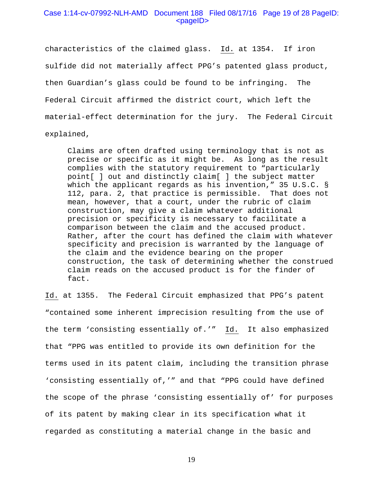### Case 1:14-cv-07992-NLH-AMD Document 188 Filed 08/17/16 Page 19 of 28 PageID: <pageID>

characteristics of the claimed glass. Id. at 1354. If iron sulfide did not materially affect PPG's patented glass product, then Guardian's glass could be found to be infringing. The Federal Circuit affirmed the district court, which left the material-effect determination for the jury. The Federal Circuit explained,

Claims are often drafted using terminology that is not as precise or specific as it might be. As long as the result complies with the statutory requirement to "particularly point[ ] out and distinctly claim[ ] the subject matter which the applicant regards as his invention," 35 U.S.C. § 112, para. 2, that practice is permissible. That does not mean, however, that a court, under the rubric of claim construction, may give a claim whatever additional precision or specificity is necessary to facilitate a comparison between the claim and the accused product. Rather, after the court has defined the claim with whatever specificity and precision is warranted by the language of the claim and the evidence bearing on the proper construction, the task of determining whether the construed claim reads on the accused product is for the finder of fact.

Id. at 1355. The Federal Circuit emphasized that PPG's patent "contained some inherent imprecision resulting from the use of the term 'consisting essentially of.'" Id. It also emphasized that "PPG was entitled to provide its own definition for the terms used in its patent claim, including the transition phrase 'consisting essentially of,'" and that "PPG could have defined the scope of the phrase 'consisting essentially of' for purposes of its patent by making clear in its specification what it regarded as constituting a material change in the basic and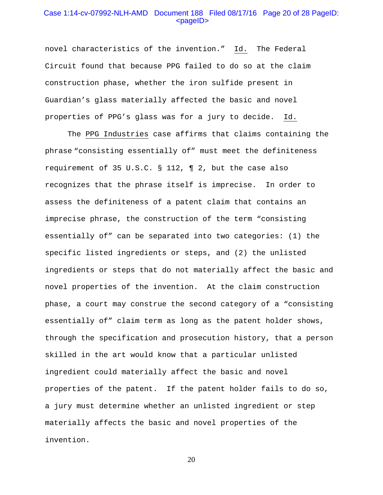### Case 1:14-cv-07992-NLH-AMD Document 188 Filed 08/17/16 Page 20 of 28 PageID:  $<$ pageID $>$

novel characteristics of the invention." Id. The Federal Circuit found that because PPG failed to do so at the claim construction phase, whether the iron sulfide present in Guardian's glass materially affected the basic and novel properties of PPG's glass was for a jury to decide. Id.

The PPG Industries case affirms that claims containing the phrase "consisting essentially of" must meet the definiteness requirement of 35 U.S.C. § 112, ¶ 2, but the case also recognizes that the phrase itself is imprecise. In order to assess the definiteness of a patent claim that contains an imprecise phrase, the construction of the term "consisting essentially of" can be separated into two categories: (1) the specific listed ingredients or steps, and (2) the unlisted ingredients or steps that do not materially affect the basic and novel properties of the invention. At the claim construction phase, a court may construe the second category of a "consisting essentially of" claim term as long as the patent holder shows, through the specification and prosecution history, that a person skilled in the art would know that a particular unlisted ingredient could materially affect the basic and novel properties of the patent. If the patent holder fails to do so, a jury must determine whether an unlisted ingredient or step materially affects the basic and novel properties of the invention.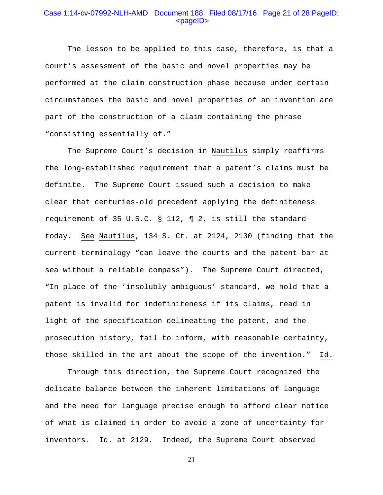### Case 1:14-cv-07992-NLH-AMD Document 188 Filed 08/17/16 Page 21 of 28 PageID: <pageID>

The lesson to be applied to this case, therefore, is that a court's assessment of the basic and novel properties may be performed at the claim construction phase because under certain circumstances the basic and novel properties of an invention are part of the construction of a claim containing the phrase "consisting essentially of."

The Supreme Court's decision in Nautilus simply reaffirms the long-established requirement that a patent's claims must be definite. The Supreme Court issued such a decision to make clear that centuries-old precedent applying the definiteness requirement of 35 U.S.C. § 112, ¶ 2, is still the standard today. See Nautilus, 134 S. Ct. at 2124, 2130 (finding that the current terminology "can leave the courts and the patent bar at sea without a reliable compass"). The Supreme Court directed, "In place of the 'insolubly ambiguous' standard, we hold that a patent is invalid for indefiniteness if its claims, read in light of the specification delineating the patent, and the prosecution history, fail to inform, with reasonable certainty, those skilled in the art about the scope of the invention." Id.

Through this direction, the Supreme Court recognized the delicate balance between the inherent limitations of language and the need for language precise enough to afford clear notice of what is claimed in order to avoid a zone of uncertainty for inventors. Id. at 2129. Indeed, the Supreme Court observed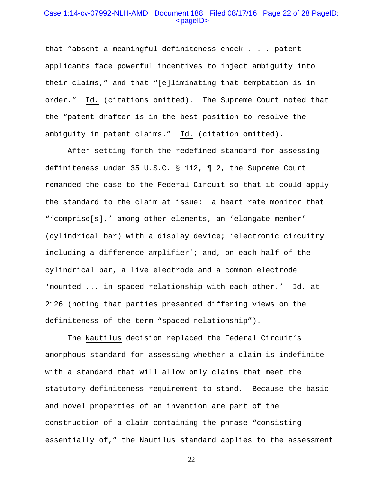#### Case 1:14-cv-07992-NLH-AMD Document 188 Filed 08/17/16 Page 22 of 28 PageID: <pageID>

that "absent a meaningful definiteness check . . . patent applicants face powerful incentives to inject ambiguity into their claims," and that "[e]liminating that temptation is in order." Id. (citations omitted). The Supreme Court noted that the "patent drafter is in the best position to resolve the ambiguity in patent claims." Id. (citation omitted).

After setting forth the redefined standard for assessing definiteness under 35 U.S.C. § 112, ¶ 2, the Supreme Court remanded the case to the Federal Circuit so that it could apply the standard to the claim at issue: a heart rate monitor that "'comprise[s],' among other elements, an 'elongate member' (cylindrical bar) with a display device; 'electronic circuitry including a difference amplifier'; and, on each half of the cylindrical bar, a live electrode and a common electrode 'mounted ... in spaced relationship with each other.' Id. at 2126 (noting that parties presented differing views on the definiteness of the term "spaced relationship").

The Nautilus decision replaced the Federal Circuit's amorphous standard for assessing whether a claim is indefinite with a standard that will allow only claims that meet the statutory definiteness requirement to stand. Because the basic and novel properties of an invention are part of the construction of a claim containing the phrase "consisting essentially of," the Nautilus standard applies to the assessment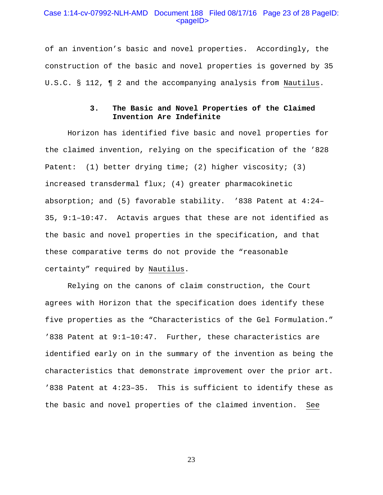### Case 1:14-cv-07992-NLH-AMD Document 188 Filed 08/17/16 Page 23 of 28 PageID: <pageID>

of an invention's basic and novel properties. Accordingly, the construction of the basic and novel properties is governed by 35 U.S.C. § 112, ¶ 2 and the accompanying analysis from Nautilus.

## **3. The Basic and Novel Properties of the Claimed Invention Are Indefinite**

Horizon has identified five basic and novel properties for the claimed invention, relying on the specification of the '828 Patent: (1) better drying time; (2) higher viscosity; (3) increased transdermal flux; (4) greater pharmacokinetic absorption; and (5) favorable stability. '838 Patent at 4:24– 35, 9:1–10:47. Actavis argues that these are not identified as the basic and novel properties in the specification, and that these comparative terms do not provide the "reasonable certainty" required by Nautilus.

Relying on the canons of claim construction, the Court agrees with Horizon that the specification does identify these five properties as the "Characteristics of the Gel Formulation." '838 Patent at 9:1–10:47. Further, these characteristics are identified early on in the summary of the invention as being the characteristics that demonstrate improvement over the prior art. '838 Patent at 4:23–35. This is sufficient to identify these as the basic and novel properties of the claimed invention. See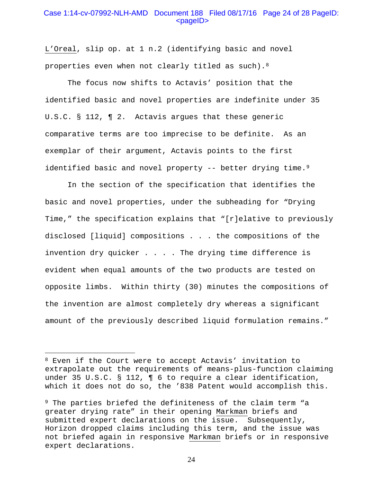### Case 1:14-cv-07992-NLH-AMD Document 188 Filed 08/17/16 Page 24 of 28 PageID: <pageID>

L'Oreal, slip op. at 1 n.2 (identifying basic and novel properties even when not clearly titled as such).[8](#page-23-0)

The focus now shifts to Actavis' position that the identified basic and novel properties are indefinite under 35 U.S.C. § 112, ¶ 2. Actavis argues that these generic comparative terms are too imprecise to be definite. As an exemplar of their argument, Actavis points to the first identified basic and novel property -- better drying time.<sup>[9](#page-23-1)</sup>

In the section of the specification that identifies the basic and novel properties, under the subheading for "Drying Time," the specification explains that "[r]elative to previously disclosed [liquid] compositions . . . the compositions of the invention dry quicker . . . . The drying time difference is evident when equal amounts of the two products are tested on opposite limbs. Within thirty (30) minutes the compositions of the invention are almost completely dry whereas a significant amount of the previously described liquid formulation remains."

<span id="page-23-0"></span><sup>8</sup> Even if the Court were to accept Actavis' invitation to extrapolate out the requirements of means-plus-function claiming under 35 U.S.C. § 112, ¶ 6 to require a clear identification, which it does not do so, the '838 Patent would accomplish this.

<span id="page-23-1"></span><sup>9</sup> The parties briefed the definiteness of the claim term "a greater drying rate" in their opening Markman briefs and submitted expert declarations on the issue. Subsequently, Horizon dropped claims including this term, and the issue was not briefed again in responsive Markman briefs or in responsive expert declarations.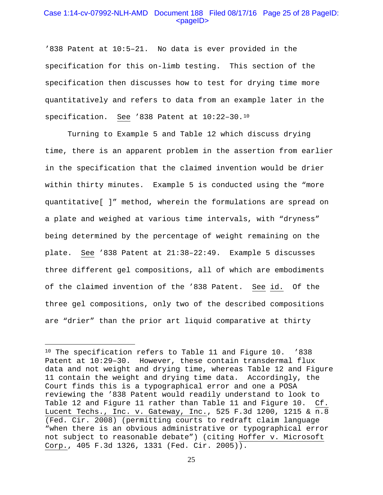## Case 1:14-cv-07992-NLH-AMD Document 188 Filed 08/17/16 Page 25 of 28 PageID: <pageID>

'838 Patent at 10:5–21. No data is ever provided in the specification for this on-limb testing. This section of the specification then discusses how to test for drying time more quantitatively and refers to data from an example later in the specification. See '838 Patent at 10:22–30.[10](#page-24-0) 

Turning to Example 5 and Table 12 which discuss drying time, there is an apparent problem in the assertion from earlier in the specification that the claimed invention would be drier within thirty minutes. Example 5 is conducted using the "more quantitative[ ]" method, wherein the formulations are spread on a plate and weighed at various time intervals, with "dryness" being determined by the percentage of weight remaining on the plate. See '838 Patent at 21:38–22:49. Example 5 discusses three different gel compositions, all of which are embodiments of the claimed invention of the '838 Patent. See id. Of the three gel compositions, only two of the described compositions are "drier" than the prior art liquid comparative at thirty

<span id="page-24-0"></span><sup>10</sup> The specification refers to Table 11 and Figure 10. '838 Patent at  $10:29-30$ . However, these contain transdermal flux data and not weight and drying time, whereas Table 12 and Figure 11 contain the weight and drying time data. Accordingly, the Court finds this is a typographical error and one a POSA reviewing the '838 Patent would readily understand to look to Table 12 and Figure 11 rather than Table 11 and Figure 10. Cf. Lucent Techs., Inc. v. Gateway, Inc., 525 F.3d 1200, 1215 & n.8 (Fed. Cir. 2008) (permitting courts to redraft claim language "when there is an obvious administrative or typographical error not subject to reasonable debate") (citing Hoffer v. Microsoft Corp., 405 F.3d 1326, 1331 (Fed. Cir. 2005)).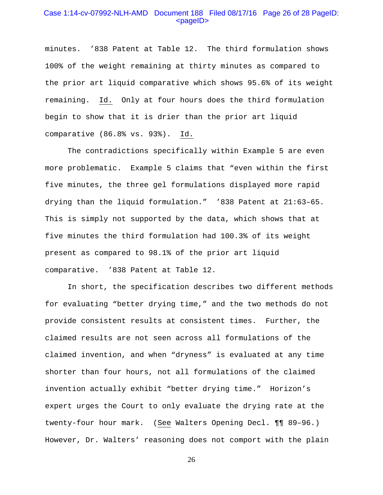### Case 1:14-cv-07992-NLH-AMD Document 188 Filed 08/17/16 Page 26 of 28 PageID: <pageID>

minutes. '838 Patent at Table 12. The third formulation shows 100% of the weight remaining at thirty minutes as compared to the prior art liquid comparative which shows 95.6% of its weight remaining. Id. Only at four hours does the third formulation begin to show that it is drier than the prior art liquid comparative (86.8% vs. 93%). Id.

The contradictions specifically within Example 5 are even more problematic. Example 5 claims that "even within the first five minutes, the three gel formulations displayed more rapid drying than the liquid formulation." '838 Patent at 21:63–65. This is simply not supported by the data, which shows that at five minutes the third formulation had 100.3% of its weight present as compared to 98.1% of the prior art liquid comparative. '838 Patent at Table 12.

In short, the specification describes two different methods for evaluating "better drying time," and the two methods do not provide consistent results at consistent times. Further, the claimed results are not seen across all formulations of the claimed invention, and when "dryness" is evaluated at any time shorter than four hours, not all formulations of the claimed invention actually exhibit "better drying time." Horizon's expert urges the Court to only evaluate the drying rate at the twenty-four hour mark. (See Walters Opening Decl. ¶¶ 89–96.) However, Dr. Walters' reasoning does not comport with the plain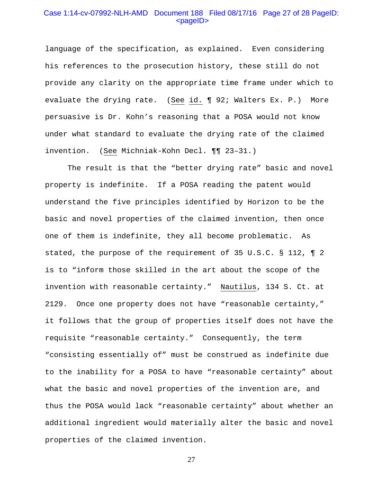## Case 1:14-cv-07992-NLH-AMD Document 188 Filed 08/17/16 Page 27 of 28 PageID: <pageID>

language of the specification, as explained. Even considering his references to the prosecution history, these still do not provide any clarity on the appropriate time frame under which to evaluate the drying rate. (See id. ¶ 92; Walters Ex. P.) More persuasive is Dr. Kohn's reasoning that a POSA would not know under what standard to evaluate the drying rate of the claimed invention. (See Michniak-Kohn Decl. ¶¶ 23–31.)

The result is that the "better drying rate" basic and novel property is indefinite. If a POSA reading the patent would understand the five principles identified by Horizon to be the basic and novel properties of the claimed invention, then once one of them is indefinite, they all become problematic. As stated, the purpose of the requirement of 35 U.S.C. § 112, ¶ 2 is to "inform those skilled in the art about the scope of the invention with reasonable certainty." Nautilus, 134 S. Ct. at 2129. Once one property does not have "reasonable certainty," it follows that the group of properties itself does not have the requisite "reasonable certainty." Consequently, the term "consisting essentially of" must be construed as indefinite due to the inability for a POSA to have "reasonable certainty" about what the basic and novel properties of the invention are, and thus the POSA would lack "reasonable certainty" about whether an additional ingredient would materially alter the basic and novel properties of the claimed invention.